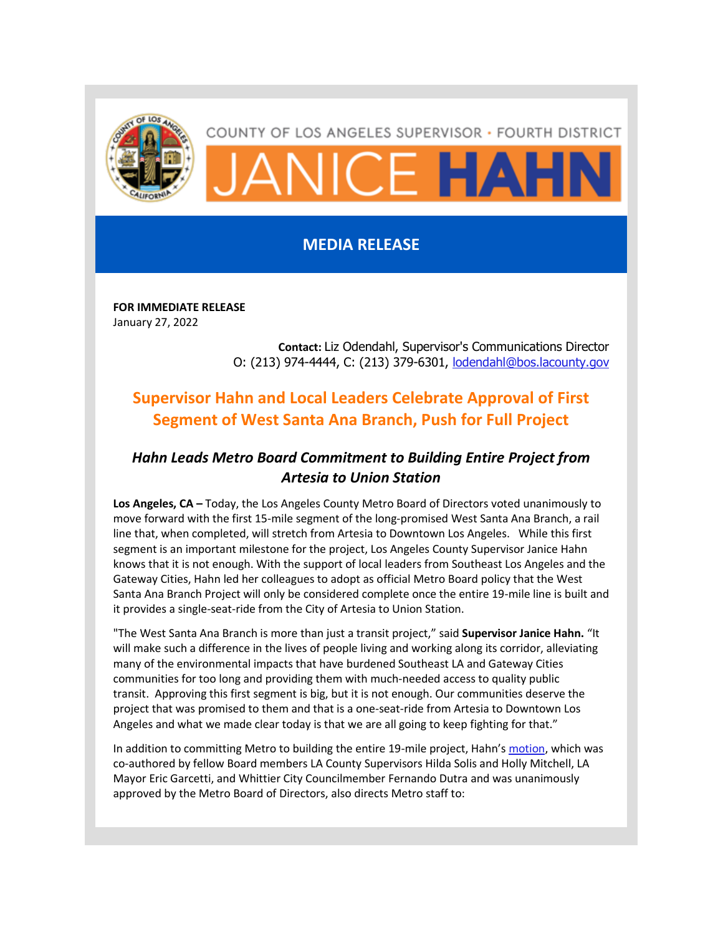

## COUNTY OF LOS ANGELES SUPERVISOR · FOURTH DISTRICT

**VICE HAHR** 

## **MEDIA RELEASE**

**FOR IMMEDIATE RELEASE** January 27, 2022

> **Contact:** Liz Odendahl, Supervisor's Communications Director O: (213) 974-4444, C: (213) 379-6301, **[lodendahl@bos.lacounty.gov](mailto:lodendahl@bos.lacounty.gov)**

## **Supervisor Hahn and Local Leaders Celebrate Approval of First Segment of West Santa Ana Branch, Push for Full Project**

## *Hahn Leads Metro Board Commitment to Building Entire Project from Artesia to Union Station*

**Los Angeles, CA –** Today, the Los Angeles County Metro Board of Directors voted unanimously to move forward with the first 15-mile segment of the long-promised West Santa Ana Branch, a rail line that, when completed, will stretch from Artesia to Downtown Los Angeles. While this first segment is an important milestone for the project, Los Angeles County Supervisor Janice Hahn knows that it is not enough. With the support of local leaders from Southeast Los Angeles and the Gateway Cities, Hahn led her colleagues to adopt as official Metro Board policy that the West Santa Ana Branch Project will only be considered complete once the entire 19-mile line is built and it provides a single-seat-ride from the City of Artesia to Union Station.

"The West Santa Ana Branch is more than just a transit project," said **Supervisor Janice Hahn.** "It will make such a difference in the lives of people living and working along its corridor, alleviating many of the environmental impacts that have burdened Southeast LA and Gateway Cities communities for too long and providing them with much-needed access to quality public transit. Approving this first segment is big, but it is not enough. Our communities deserve the project that was promised to them and that is a one-seat-ride from Artesia to Downtown Los Angeles and what we made clear today is that we are all going to keep fighting for that."

In addition to committing Metro to building the entire 19-mile project, Hahn's [motion,](https://gcc02.safelinks.protection.outlook.com/?url=https%3A%2F%2Fboardagendas.metro.net%2Fboard-report%2F2022-0023%2F%3Futm_content%3D%26utm_medium%3Demail%26utm_name%3D%26utm_source%3Dgovdelivery%26utm_term%3D&data=04%7C01%7CLKlipp%40bos.lacounty.gov%7Cd5818c1a5483416f863a08d9e1db1700%7C7faea7986ad04fc9b068fcbcaed341f6%7C0%7C0%7C637789153359532768%7CUnknown%7CTWFpbGZsb3d8eyJWIjoiMC4wLjAwMDAiLCJQIjoiV2luMzIiLCJBTiI6Ik1haWwiLCJXVCI6Mn0%3D%7C3000&sdata=1h0OtnStWXceoa4y2hcFJ6gA6UMq92JphRUP%2F6V003Q%3D&reserved=0) which was co-authored by fellow Board members LA County Supervisors Hilda Solis and Holly Mitchell, LA Mayor Eric Garcetti, and Whittier City Councilmember Fernando Dutra and was unanimously approved by the Metro Board of Directors, also directs Metro staff to: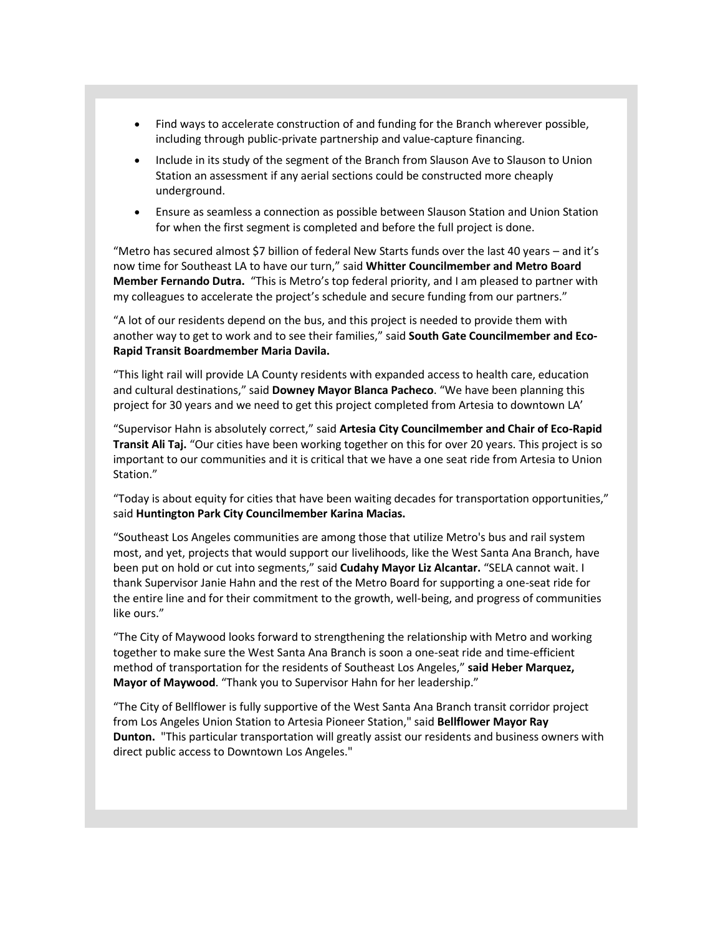- Find ways to accelerate construction of and funding for the Branch wherever possible, including through public-private partnership and value-capture financing.
- Include in its study of the segment of the Branch from Slauson Ave to Slauson to Union Station an assessment if any aerial sections could be constructed more cheaply underground.
- Ensure as seamless a connection as possible between Slauson Station and Union Station for when the first segment is completed and before the full project is done.

"Metro has secured almost \$7 billion of federal New Starts funds over the last 40 years – and it's now time for Southeast LA to have our turn," said **Whitter Councilmember and Metro Board Member Fernando Dutra.** "This is Metro's top federal priority, and I am pleased to partner with my colleagues to accelerate the project's schedule and secure funding from our partners."

"A lot of our residents depend on the bus, and this project is needed to provide them with another way to get to work and to see their families," said **South Gate Councilmember and Eco-Rapid Transit Boardmember Maria Davila.**

"This light rail will provide LA County residents with expanded access to health care, education and cultural destinations," said **Downey Mayor Blanca Pacheco**. "We have been planning this project for 30 years and we need to get this project completed from Artesia to downtown LA'

"Supervisor Hahn is absolutely correct," said **Artesia City Councilmember and Chair of Eco-Rapid Transit Ali Taj.** "Our cities have been working together on this for over 20 years. This project is so important to our communities and it is critical that we have a one seat ride from Artesia to Union Station."

"Today is about equity for cities that have been waiting decades for transportation opportunities," said **Huntington Park City Councilmember Karina Macias.**

"Southeast Los Angeles communities are among those that utilize Metro's bus and rail system most, and yet, projects that would support our livelihoods, like the West Santa Ana Branch, have been put on hold or cut into segments," said **Cudahy Mayor Liz Alcantar.** "SELA cannot wait. I thank Supervisor Janie Hahn and the rest of the Metro Board for supporting a one-seat ride for the entire line and for their commitment to the growth, well-being, and progress of communities like ours."

"The City of Maywood looks forward to strengthening the relationship with Metro and working together to make sure the West Santa Ana Branch is soon a one-seat ride and time-efficient method of transportation for the residents of Southeast Los Angeles," **said Heber Marquez, Mayor of Maywood**. "Thank you to Supervisor Hahn for her leadership."

"The City of Bellflower is fully supportive of the West Santa Ana Branch transit corridor project from Los Angeles Union Station to Artesia Pioneer Station," said **Bellflower Mayor Ray Dunton.** "This particular transportation will greatly assist our residents and business owners with direct public access to Downtown Los Angeles."